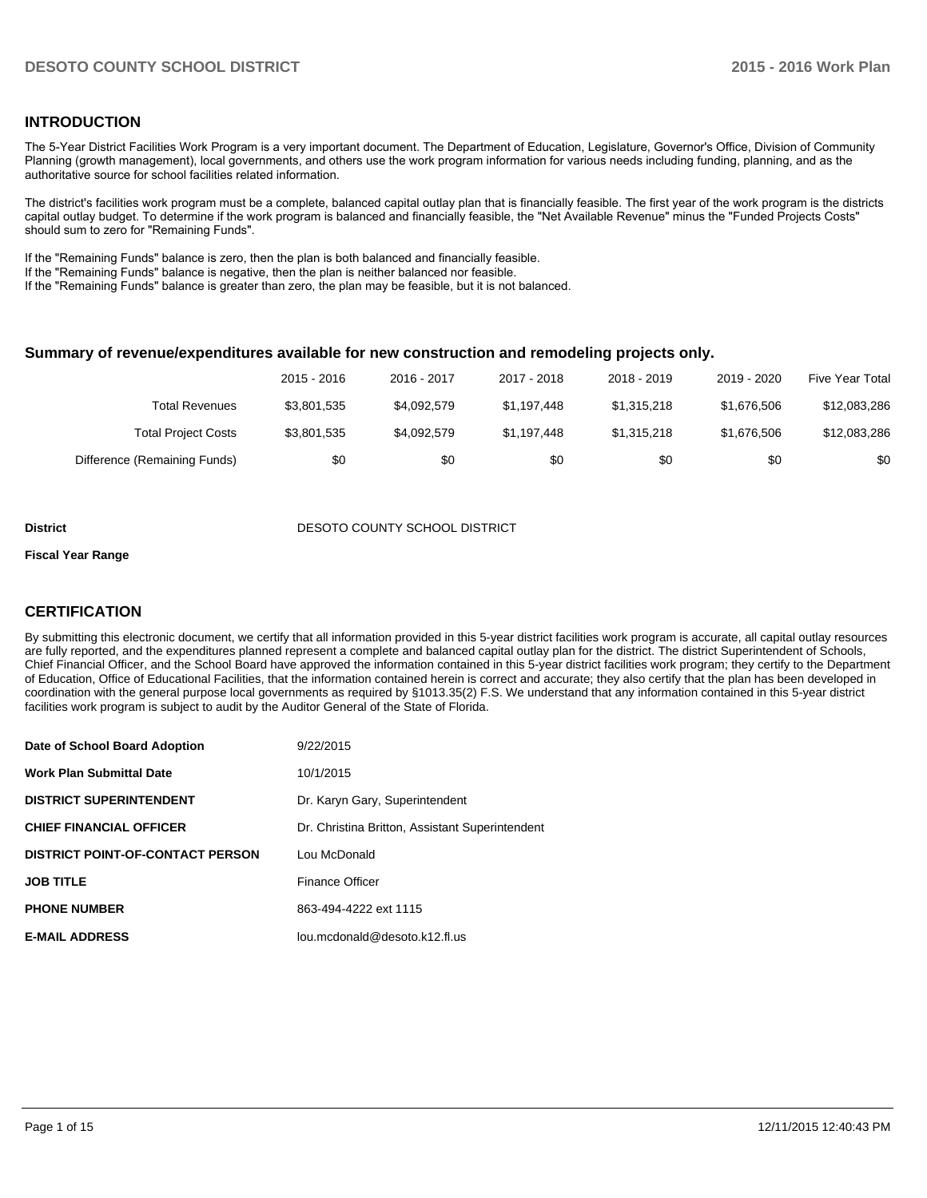### **INTRODUCTION**

The 5-Year District Facilities Work Program is a very important document. The Department of Education, Legislature, Governor's Office, Division of Community Planning (growth management), local governments, and others use the work program information for various needs including funding, planning, and as the authoritative source for school facilities related information.

The district's facilities work program must be a complete, balanced capital outlay plan that is financially feasible. The first year of the work program is the districts capital outlay budget. To determine if the work program is balanced and financially feasible, the "Net Available Revenue" minus the "Funded Projects Costs" should sum to zero for "Remaining Funds".

If the "Remaining Funds" balance is zero, then the plan is both balanced and financially feasible.

If the "Remaining Funds" balance is negative, then the plan is neither balanced nor feasible.

If the "Remaining Funds" balance is greater than zero, the plan may be feasible, but it is not balanced.

#### **Summary of revenue/expenditures available for new construction and remodeling projects only.**

|                              | 2015 - 2016 | 2016 - 2017 | 2017 - 2018 | 2018 - 2019 | 2019 - 2020 | Five Year Total |
|------------------------------|-------------|-------------|-------------|-------------|-------------|-----------------|
| Total Revenues               | \$3,801,535 | \$4,092,579 | \$1.197.448 | \$1,315,218 | \$1.676.506 | \$12,083,286    |
| <b>Total Project Costs</b>   | \$3,801,535 | \$4,092,579 | \$1.197.448 | \$1,315,218 | \$1.676.506 | \$12,083,286    |
| Difference (Remaining Funds) | \$0         | \$0         | \$0         | \$0         | \$0         | \$0             |

#### **District DESOTO COUNTY SCHOOL DISTRICT**

#### **Fiscal Year Range**

### **CERTIFICATION**

By submitting this electronic document, we certify that all information provided in this 5-year district facilities work program is accurate, all capital outlay resources are fully reported, and the expenditures planned represent a complete and balanced capital outlay plan for the district. The district Superintendent of Schools, Chief Financial Officer, and the School Board have approved the information contained in this 5-year district facilities work program; they certify to the Department of Education, Office of Educational Facilities, that the information contained herein is correct and accurate; they also certify that the plan has been developed in coordination with the general purpose local governments as required by §1013.35(2) F.S. We understand that any information contained in this 5-year district facilities work program is subject to audit by the Auditor General of the State of Florida.

| Date of School Board Adoption           | 9/22/2015                                       |
|-----------------------------------------|-------------------------------------------------|
| <b>Work Plan Submittal Date</b>         | 10/1/2015                                       |
| <b>DISTRICT SUPERINTENDENT</b>          | Dr. Karyn Gary, Superintendent                  |
| <b>CHIEF FINANCIAL OFFICER</b>          | Dr. Christina Britton, Assistant Superintendent |
| <b>DISTRICT POINT-OF-CONTACT PERSON</b> | Lou McDonald                                    |
| <b>JOB TITLE</b>                        | <b>Finance Officer</b>                          |
| <b>PHONE NUMBER</b>                     | 863-494-4222 ext 1115                           |
| <b>E-MAIL ADDRESS</b>                   | lou.mcdonald@desoto.k12.fl.us                   |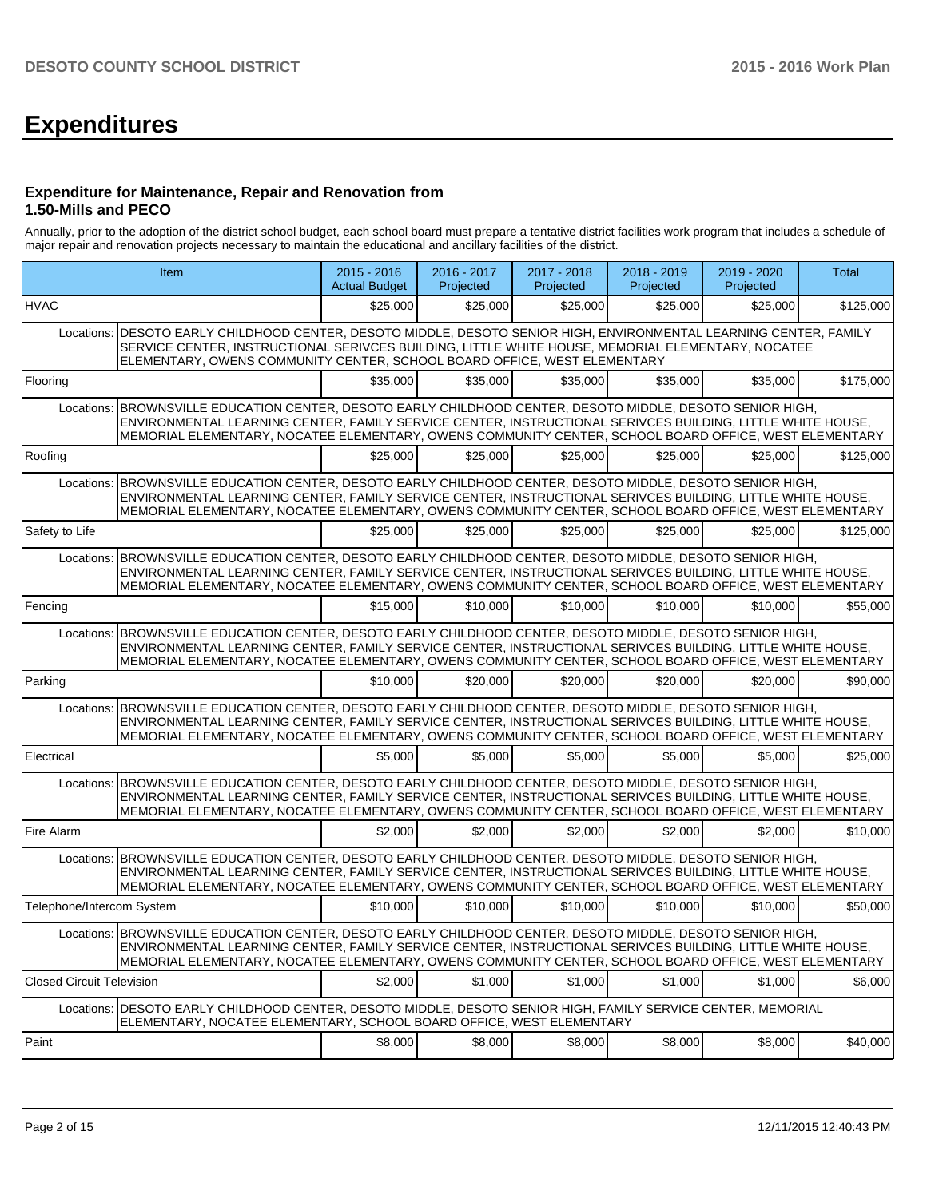# **Expenditures**

#### **Expenditure for Maintenance, Repair and Renovation from 1.50-Mills and PECO**

Annually, prior to the adoption of the district school budget, each school board must prepare a tentative district facilities work program that includes a schedule of major repair and renovation projects necessary to maintain the educational and ancillary facilities of the district.

|                                  | Item                                                                                                                                                                                                                                                                                                                              | $2015 - 2016$<br><b>Actual Budget</b> | 2016 - 2017<br>Projected | 2017 - 2018<br>Projected | 2018 - 2019<br>Projected | 2019 - 2020<br>Projected | Total     |
|----------------------------------|-----------------------------------------------------------------------------------------------------------------------------------------------------------------------------------------------------------------------------------------------------------------------------------------------------------------------------------|---------------------------------------|--------------------------|--------------------------|--------------------------|--------------------------|-----------|
| <b>HVAC</b>                      |                                                                                                                                                                                                                                                                                                                                   | \$25,000                              | \$25,000                 | \$25,000                 | \$25,000                 | \$25,000                 | \$125,000 |
| Locations:                       | DESOTO EARLY CHILDHOOD CENTER, DESOTO MIDDLE, DESOTO SENIOR HIGH, ENVIRONMENTAL LEARNING CENTER, FAMILY<br>SERVICE CENTER. INSTRUCTIONAL SERIVCES BUILDING. LITTLE WHITE HOUSE. MEMORIAL ELEMENTARY. NOCATEE<br>ELEMENTARY, OWENS COMMUNITY CENTER, SCHOOL BOARD OFFICE, WEST ELEMENTARY                                          |                                       |                          |                          |                          |                          |           |
| Flooring                         |                                                                                                                                                                                                                                                                                                                                   | \$35,000                              | \$35,000                 | \$35,000                 | \$35,000                 | \$35,000                 | \$175,000 |
| Locations:                       | BROWNSVILLE EDUCATION CENTER, DESOTO EARLY CHILDHOOD CENTER, DESOTO MIDDLE, DESOTO SENIOR HIGH,<br>ENVIRONMENTAL LEARNING CENTER, FAMILY SERVICE CENTER, INSTRUCTIONAL SERIVCES BUILDING, LITTLE WHITE HOUSE,<br>MEMORIAL ELEMENTARY, NOCATEE ELEMENTARY, OWENS COMMUNITY CENTER, SCHOOL BOARD OFFICE, WEST ELEMENTARY            |                                       |                          |                          |                          |                          |           |
| Roofing                          |                                                                                                                                                                                                                                                                                                                                   | \$25,000                              | \$25,000                 | \$25,000                 | \$25,000                 | \$25,000                 | \$125.000 |
| Locations:                       | BROWNSVILLE EDUCATION CENTER, DESOTO EARLY CHILDHOOD CENTER, DESOTO MIDDLE, DESOTO SENIOR HIGH,<br>ENVIRONMENTAL LEARNING CENTER, FAMILY SERVICE CENTER, INSTRUCTIONAL SERIVCES BUILDING, LITTLE WHITE HOUSE,<br>MEMORIAL ELEMENTARY, NOCATEE ELEMENTARY, OWENS COMMUNITY CENTER, SCHOOL BOARD OFFICE, WEST ELEMENTARY            |                                       |                          |                          |                          |                          |           |
| Safety to Life                   |                                                                                                                                                                                                                                                                                                                                   | \$25,000                              | \$25,000                 | \$25,000                 | \$25,000                 | \$25,000                 | \$125,000 |
| Locations:                       | BROWNSVILLE EDUCATION CENTER, DESOTO EARLY CHILDHOOD CENTER, DESOTO MIDDLE, DESOTO SENIOR HIGH,<br>ENVIRONMENTAL LEARNING CENTER, FAMILY SERVICE CENTER, INSTRUCTIONAL SERIVCES BUILDING, LITTLE WHITE HOUSE,<br>MEMORIAL ELEMENTARY, NOCATEE ELEMENTARY, OWENS COMMUNITY CENTER, SCHOOL BOARD OFFICE, WEST ELEMENTARY            |                                       |                          |                          |                          |                          |           |
| Fencing                          |                                                                                                                                                                                                                                                                                                                                   | \$15,000                              | \$10,000                 | \$10,000                 | \$10,000                 | \$10,000                 | \$55,000  |
| Locations:                       | BROWNSVILLE EDUCATION CENTER, DESOTO EARLY CHILDHOOD CENTER, DESOTO MIDDLE, DESOTO SENIOR HIGH,<br>ENVIRONMENTAL LEARNING CENTER, FAMILY SERVICE CENTER, INSTRUCTIONAL SERIVCES BUILDING, LITTLE WHITE HOUSE,<br>MEMORIAL ELEMENTARY, NOCATEE ELEMENTARY, OWENS COMMUNITY CENTER, SCHOOL BOARD OFFICE, WEST ELEMENTARY            |                                       |                          |                          |                          |                          |           |
| Parking                          |                                                                                                                                                                                                                                                                                                                                   | \$10,000                              | \$20,000                 | \$20,000                 | \$20,000                 | \$20,000                 | \$90,000  |
|                                  | Locations: BROWNSVILLE EDUCATION CENTER, DESOTO EARLY CHILDHOOD CENTER, DESOTO MIDDLE, DESOTO SENIOR HIGH,<br>ENVIRONMENTAL LEARNING CENTER, FAMILY SERVICE CENTER, INSTRUCTIONAL SERIVCES BUILDING, LITTLE WHITE HOUSE,<br>MEMORIAL ELEMENTARY, NOCATEE ELEMENTARY, OWENS COMMUNITY CENTER, SCHOOL BOARD OFFICE, WEST ELEMENTARY |                                       |                          |                          |                          |                          |           |
| Electrical                       |                                                                                                                                                                                                                                                                                                                                   | \$5,000                               | \$5,000                  | \$5.000                  | \$5,000                  | \$5,000                  | \$25,000  |
| Locations:                       | BROWNSVILLE EDUCATION CENTER, DESOTO EARLY CHILDHOOD CENTER, DESOTO MIDDLE, DESOTO SENIOR HIGH,<br>ENVIRONMENTAL LEARNING CENTER, FAMILY SERVICE CENTER, INSTRUCTIONAL SERIVCES BUILDING, LITTLE WHITE HOUSE,<br>MEMORIAL ELEMENTARY, NOCATEE ELEMENTARY, OWENS COMMUNITY CENTER, SCHOOL BOARD OFFICE, WEST ELEMENTARY            |                                       |                          |                          |                          |                          |           |
| Fire Alarm                       |                                                                                                                                                                                                                                                                                                                                   | \$2,000                               | \$2,000                  | \$2,000                  | \$2,000                  | \$2,000                  | \$10,000  |
|                                  | Locations: BROWNSVILLE EDUCATION CENTER, DESOTO EARLY CHILDHOOD CENTER, DESOTO MIDDLE, DESOTO SENIOR HIGH,<br>ENVIRONMENTAL LEARNING CENTER, FAMILY SERVICE CENTER, INSTRUCTIONAL SERIVCES BUILDING, LITTLE WHITE HOUSE,<br>MEMORIAL ELEMENTARY, NOCATEE ELEMENTARY, OWENS COMMUNITY CENTER, SCHOOL BOARD OFFICE, WEST ELEMENTARY |                                       |                          |                          |                          |                          |           |
| Telephone/Intercom System        |                                                                                                                                                                                                                                                                                                                                   | \$10,000                              | \$10,000                 | \$10,000                 | \$10,000                 | \$10,000                 | \$50,000  |
|                                  | Locations: BROWNSVILLE EDUCATION CENTER, DESOTO EARLY CHILDHOOD CENTER, DESOTO MIDDLE, DESOTO SENIOR HIGH,<br>ENVIRONMENTAL LEARNING CENTER, FAMILY SERVICE CENTER, INSTRUCTIONAL SERIVCES BUILDING, LITTLE WHITE HOUSE,<br>MEMORIAL ELEMENTARY, NOCATEE ELEMENTARY, OWENS COMMUNITY CENTER, SCHOOL BOARD OFFICE, WEST ELEMENTARY |                                       |                          |                          |                          |                          |           |
| <b>Closed Circuit Television</b> |                                                                                                                                                                                                                                                                                                                                   | \$2,000                               | \$1,000                  | \$1,000                  | \$1,000                  | \$1,000                  | \$6,000   |
| Locations:                       | DESOTO EARLY CHILDHOOD CENTER, DESOTO MIDDLE, DESOTO SENIOR HIGH, FAMILY SERVICE CENTER, MEMORIAL<br>ELEMENTARY, NOCATEE ELEMENTARY, SCHOOL BOARD OFFICE, WEST ELEMENTARY                                                                                                                                                         |                                       |                          |                          |                          |                          |           |
| Paint                            |                                                                                                                                                                                                                                                                                                                                   | \$8,000                               | \$8,000                  | \$8,000                  | \$8,000                  | \$8,000                  | \$40,000  |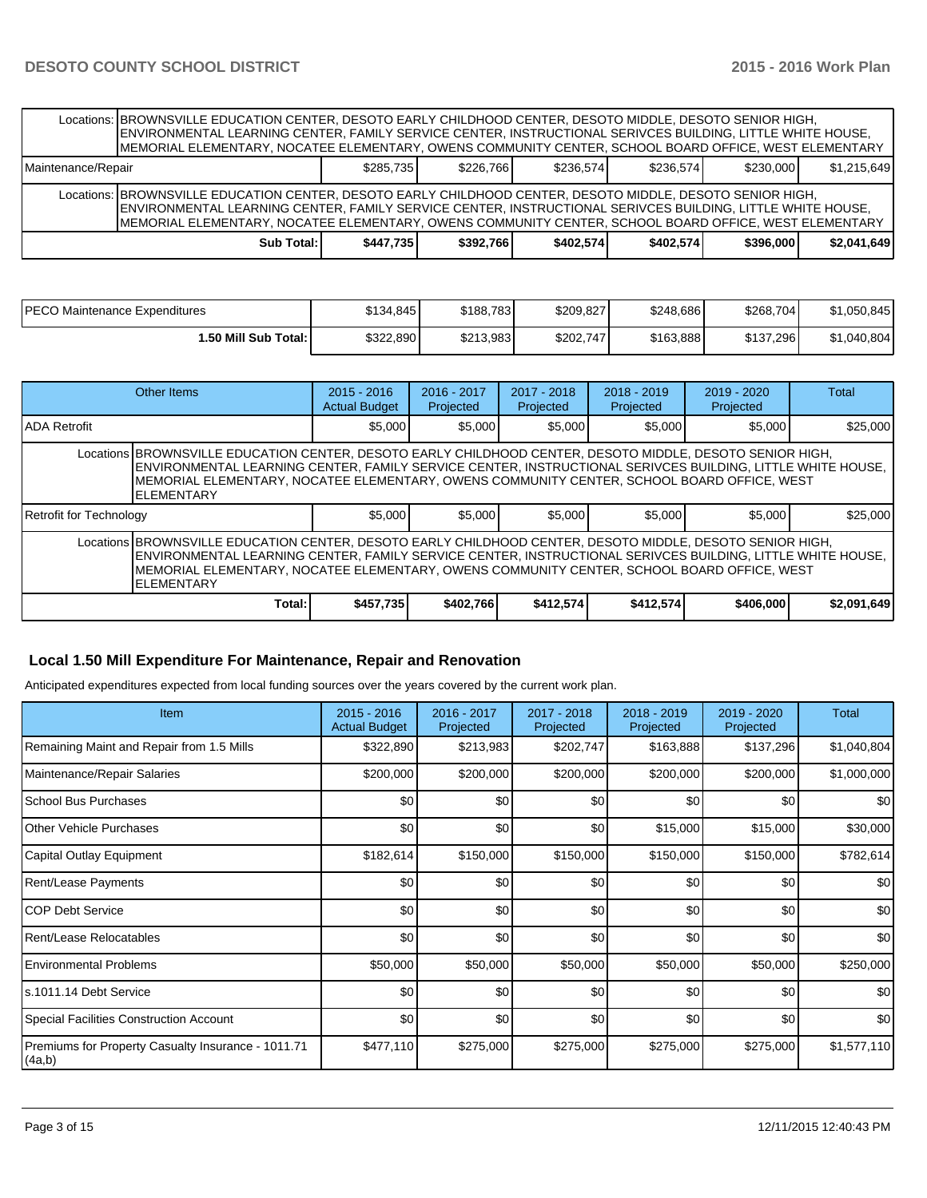|                    | Locations: BROWNSVILLE EDUCATION CENTER, DESOTO EARLY CHILDHOOD CENTER, DESOTO MIDDLE, DESOTO SENIOR HIGH,<br>IENVIRONMENTAL LEARNING CENTER, FAMILY SERVICE CENTER, INSTRUCTIONAL SERIVCES BUILDING, LITTLE WHITE HOUSE,<br>MEMORIAL ELEMENTARY, NOCATEE ELEMENTARY, OWENS COMMUNITY CENTER, SCHOOL BOARD OFFICE, WEST ELEMENTARY |           |           |           |           |           |             |
|--------------------|------------------------------------------------------------------------------------------------------------------------------------------------------------------------------------------------------------------------------------------------------------------------------------------------------------------------------------|-----------|-----------|-----------|-----------|-----------|-------------|
| Maintenance/Repair |                                                                                                                                                                                                                                                                                                                                    | \$285.735 | \$226.766 | \$236.574 | \$236.574 | \$230,000 | \$1.215.649 |
|                    | Locations: BROWNSVILLE EDUCATION CENTER, DESOTO EARLY CHILDHOOD CENTER, DESOTO MIDDLE, DESOTO SENIOR HIGH,<br>ENVIRONMENTAL LEARNING CENTER, FAMILY SERVICE CENTER, INSTRUCTIONAL SERIVCES BUILDING, LITTLE WHITE HOUSE,<br>MEMORIAL ELEMENTARY, NOCATEE ELEMENTARY, OWENS COMMUNITY CENTER, SCHOOL BOARD OFFICE, WEST ELEMENTARY  |           |           |           |           |           |             |
|                    | Sub Total: I                                                                                                                                                                                                                                                                                                                       | \$447.735 | \$392.766 | \$402.574 | \$402.574 | \$396,000 | \$2.041.649 |

| IPECO Maintenance Expenditures | \$134.845 | \$188.783 | \$209,827 | \$248,686 | \$268,704 | \$1,050,845 |
|--------------------------------|-----------|-----------|-----------|-----------|-----------|-------------|
| 1.50 Mill Sub Total: I         | \$322,890 | \$213,983 | \$202,747 | \$163,888 | \$137,296 | \$1,040,804 |

|                                                                                                                                                                                                                                                                                                                                             | Other Items | $2015 - 2016$<br><b>Actual Budget</b> | $2016 - 2017$<br>Projected | $2017 - 2018$<br>Projected | $2018 - 2019$<br>Projected | $2019 - 2020$<br>Projected | Total       |  |  |
|---------------------------------------------------------------------------------------------------------------------------------------------------------------------------------------------------------------------------------------------------------------------------------------------------------------------------------------------|-------------|---------------------------------------|----------------------------|----------------------------|----------------------------|----------------------------|-------------|--|--|
| IADA Retrofit                                                                                                                                                                                                                                                                                                                               |             | \$5,000                               | \$5,000                    | \$5,000                    | \$5,000                    | \$5,000                    | \$25,000    |  |  |
| Locations BROWNSVILLE EDUCATION CENTER, DESOTO EARLY CHILDHOOD CENTER, DESOTO MIDDLE, DESOTO SENIOR HIGH,<br>ENVIRONMENTAL LEARNING CENTER, FAMILY SERVICE CENTER, INSTRUCTIONAL SERIVCES BUILDING, LITTLE WHITE HOUSE,<br>IMEMORIAL ELEMENTARY, NOCATEE ELEMENTARY, OWENS COMMUNITY CENTER, SCHOOL BOARD OFFICE, WEST<br><b>ELEMENTARY</b> |             |                                       |                            |                            |                            |                            |             |  |  |
| Retrofit for Technology                                                                                                                                                                                                                                                                                                                     |             | \$5,000                               | \$5.000                    | \$5,000                    | \$5,000                    | \$5,000                    | \$25,000    |  |  |
| Locations BROWNSVILLE EDUCATION CENTER, DESOTO EARLY CHILDHOOD CENTER, DESOTO MIDDLE, DESOTO SENIOR HIGH,<br>ENVIRONMENTAL LEARNING CENTER, FAMILY SERVICE CENTER, INSTRUCTIONAL SERIVCES BUILDING, LITTLE WHITE HOUSE,<br>IMEMORIAL ELEMENTARY. NOCATEE ELEMENTARY. OWENS COMMUNITY CENTER. SCHOOL BOARD OFFICE. WEST<br><b>ELEMENTARY</b> |             |                                       |                            |                            |                            |                            |             |  |  |
|                                                                                                                                                                                                                                                                                                                                             | Total:      | \$457.735                             | \$402.766                  | \$412,574                  | \$412,574                  | \$406,000                  | \$2,091,649 |  |  |

### **Local 1.50 Mill Expenditure For Maintenance, Repair and Renovation**

Anticipated expenditures expected from local funding sources over the years covered by the current work plan.

| <b>Item</b>                                                  | $2015 - 2016$<br><b>Actual Budget</b> | 2016 - 2017<br>Projected | 2017 - 2018<br>Projected | 2018 - 2019<br>Projected | 2019 - 2020<br>Projected | Total       |
|--------------------------------------------------------------|---------------------------------------|--------------------------|--------------------------|--------------------------|--------------------------|-------------|
| Remaining Maint and Repair from 1.5 Mills                    | \$322,890                             | \$213,983                | \$202,747                | \$163,888                | \$137,296                | \$1,040,804 |
| Maintenance/Repair Salaries                                  | \$200,000                             | \$200,000                | \$200,000                | \$200,000                | \$200,000                | \$1,000,000 |
| School Bus Purchases                                         | \$0                                   | \$0                      | \$0                      | \$0                      | \$0                      | \$0         |
| Other Vehicle Purchases                                      | \$0                                   | \$0                      | \$0                      | \$15,000                 | \$15,000                 | \$30,000    |
| Capital Outlay Equipment                                     | \$182,614                             | \$150,000                | \$150,000                | \$150,000                | \$150,000                | \$782,614   |
| <b>Rent/Lease Payments</b>                                   | \$0                                   | \$0                      | \$0                      | \$0                      | \$0                      | \$0         |
| <b>COP Debt Service</b>                                      | \$0                                   | \$0                      | \$0                      | \$0                      | \$0                      | \$0         |
| Rent/Lease Relocatables                                      | \$0                                   | \$0                      | \$0                      | \$0                      | \$0                      | \$0         |
| <b>Environmental Problems</b>                                | \$50,000                              | \$50,000                 | \$50,000                 | \$50,000                 | \$50,000                 | \$250,000   |
| ls.1011.14 Debt Service                                      | \$0                                   | \$0                      | \$0                      | \$0                      | \$0                      | \$0         |
| Special Facilities Construction Account                      | \$0                                   | \$0                      | \$0                      | \$0                      | \$0                      | \$0         |
| Premiums for Property Casualty Insurance - 1011.71<br>(4a,b) | \$477,110                             | \$275,000                | \$275,000                | \$275,000                | \$275,000                | \$1,577,110 |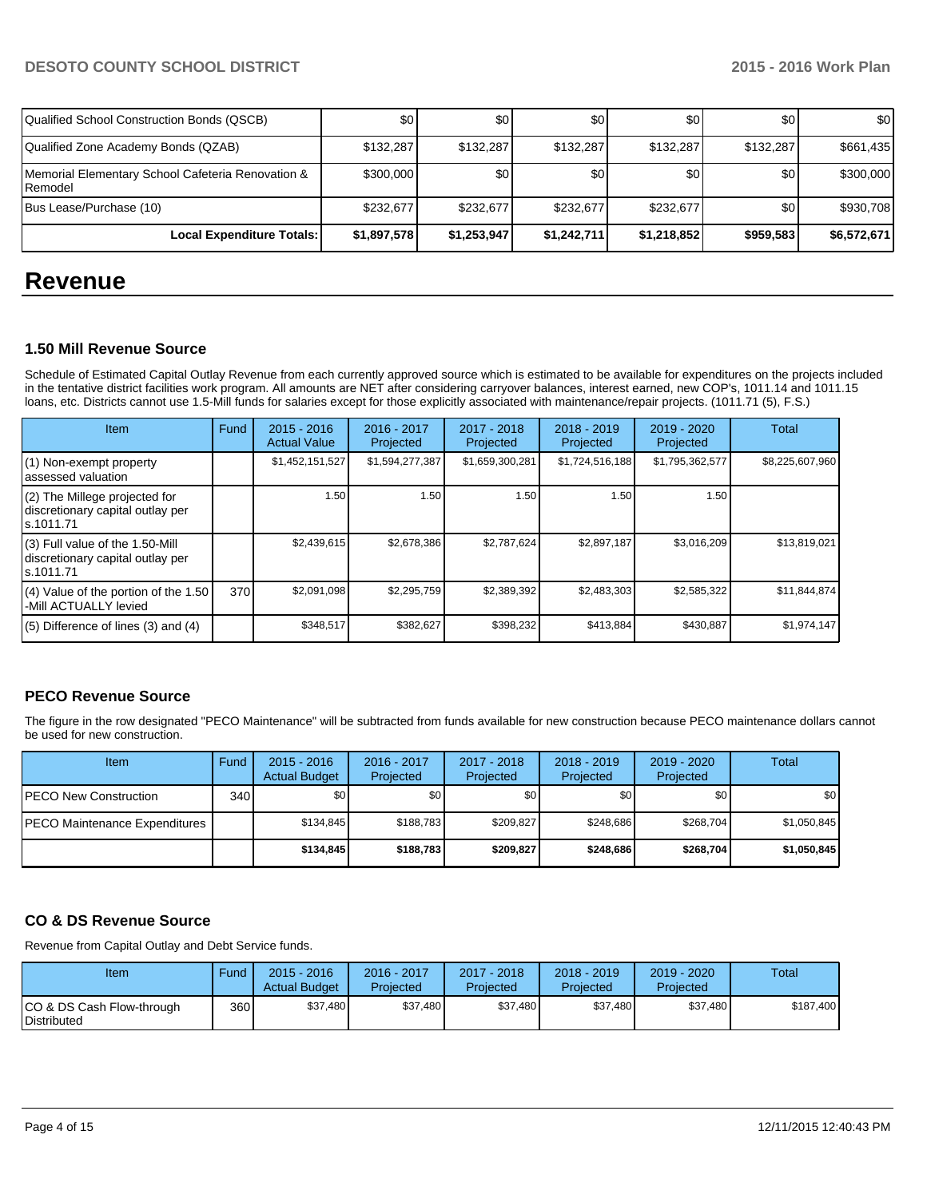| Qualified School Construction Bonds (QSCB)                   | <b>\$0</b>  | \$0         | \$0 <sub>0</sub> | \$0         | \$0              | \$0         |
|--------------------------------------------------------------|-------------|-------------|------------------|-------------|------------------|-------------|
| Qualified Zone Academy Bonds (QZAB)                          | \$132,287   | \$132,287   | \$132,287        | \$132,287   | \$132.287        | \$661,435   |
| Memorial Elementary School Cafeteria Renovation &<br>Remodel | \$300,000   | \$0         | \$0              | \$0         | \$0 <sub>1</sub> | \$300,000   |
| Bus Lease/Purchase (10)                                      | \$232,677   | \$232.677   | \$232.677        | \$232,677   | \$0              | \$930,708   |
| Local Expenditure Totals:                                    | \$1,897,578 | \$1,253,947 | \$1,242,711      | \$1,218,852 | \$959,583        | \$6,572,671 |

# **Revenue**

## **1.50 Mill Revenue Source**

Schedule of Estimated Capital Outlay Revenue from each currently approved source which is estimated to be available for expenditures on the projects included in the tentative district facilities work program. All amounts are NET after considering carryover balances, interest earned, new COP's, 1011.14 and 1011.15 loans, etc. Districts cannot use 1.5-Mill funds for salaries except for those explicitly associated with maintenance/repair projects. (1011.71 (5), F.S.)

| Item                                                                                | Fund | $2015 - 2016$<br><b>Actual Value</b> | $2016 - 2017$<br>Projected | $2017 - 2018$<br>Projected | $2018 - 2019$<br>Projected | $2019 - 2020$<br>Projected | Total           |
|-------------------------------------------------------------------------------------|------|--------------------------------------|----------------------------|----------------------------|----------------------------|----------------------------|-----------------|
| (1) Non-exempt property<br>lassessed valuation                                      |      | \$1,452,151,527                      | \$1,594,277,387            | \$1,659,300,281            | \$1,724,516,188            | \$1,795,362,577            | \$8,225,607,960 |
| (2) The Millege projected for<br>discretionary capital outlay per<br>ls.1011.71     |      | 1.50                                 | 1.50                       | 1.50                       | 1.50                       | 1.50 l                     |                 |
| $(3)$ Full value of the 1.50-Mill<br>discretionary capital outlay per<br>ls.1011.71 |      | \$2,439,615                          | \$2,678,386                | \$2,787,624                | \$2,897,187                | \$3,016,209                | \$13,819,021    |
| $(4)$ Value of the portion of the 1.50<br>-Mill ACTUALLY levied                     | 370  | \$2,091,098                          | \$2,295,759                | \$2,389,392                | \$2,483,303                | \$2,585,322                | \$11,844,874    |
| $(5)$ Difference of lines $(3)$ and $(4)$                                           |      | \$348,517                            | \$382,627                  | \$398,232                  | \$413,884                  | \$430,887                  | \$1,974,147     |

## **PECO Revenue Source**

The figure in the row designated "PECO Maintenance" will be subtracted from funds available for new construction because PECO maintenance dollars cannot be used for new construction.

| Item                                  | Fund | $2015 - 2016$<br><b>Actual Budget</b> | 2016 - 2017<br>Projected | $2017 - 2018$<br>Projected | $2018 - 2019$<br>Projected | $2019 - 2020$<br>Projected | Total       |
|---------------------------------------|------|---------------------------------------|--------------------------|----------------------------|----------------------------|----------------------------|-------------|
| <b>IPECO New Construction</b>         | 340  | \$0                                   | \$0 <sub>1</sub>         | \$0                        | \$0                        | \$0 I                      | \$0         |
| <b>IPECO Maintenance Expenditures</b> |      | \$134.845                             | \$188.783                | \$209,827                  | \$248.686                  | \$268,704                  | \$1,050,845 |
|                                       |      | \$134.845                             | \$188.783                | \$209.827                  | \$248.686                  | \$268,704                  | \$1,050,845 |

# **CO & DS Revenue Source**

Revenue from Capital Outlay and Debt Service funds.

| Item                                             | Fund | $2015 - 2016$<br><b>Actual Budget</b> | 2016 - 2017<br>Projected | $2017 - 2018$<br>Projected | $2018 - 2019$<br>Projected | 2019 - 2020<br>Projected | Total     |
|--------------------------------------------------|------|---------------------------------------|--------------------------|----------------------------|----------------------------|--------------------------|-----------|
| ICO & DS Cash Flow-through<br><b>Distributed</b> | 360  | \$37.480                              | \$37,480                 | \$37.480                   | \$37.480                   | \$37,480                 | \$187.400 |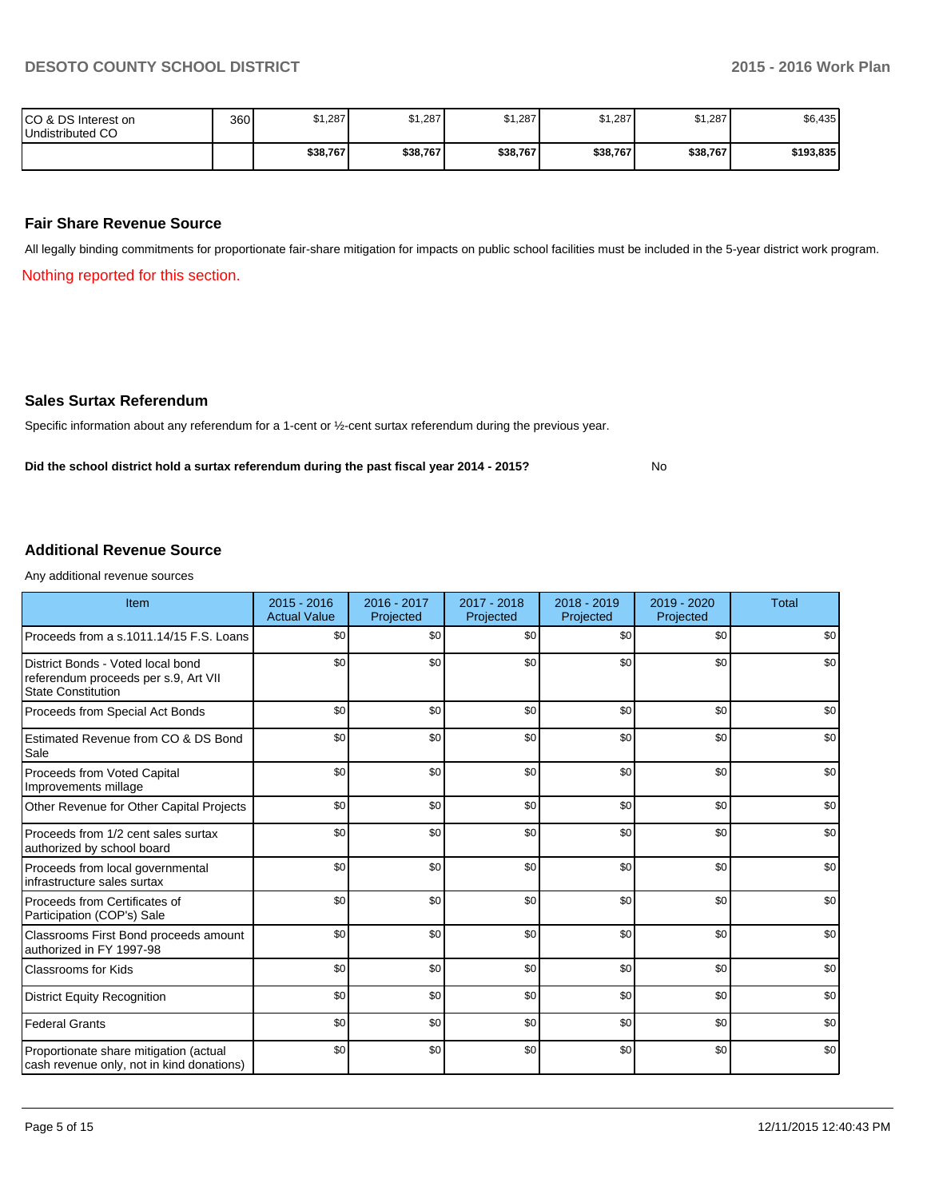No

| ICO & DS Interest on<br>Undistributed CO | 360 | \$1,287  | \$1,287  | \$1,287' | \$1,287  | \$1,287  | \$6,435   |
|------------------------------------------|-----|----------|----------|----------|----------|----------|-----------|
|                                          |     | \$38,767 | \$38,767 | \$38,767 | \$38,767 | \$38,767 | \$193,835 |

#### **Fair Share Revenue Source**

All legally binding commitments for proportionate fair-share mitigation for impacts on public school facilities must be included in the 5-year district work program.

Nothing reported for this section.

#### **Sales Surtax Referendum**

Specific information about any referendum for a 1-cent or ½-cent surtax referendum during the previous year.

**Did the school district hold a surtax referendum during the past fiscal year 2014 - 2015?**

#### **Additional Revenue Source**

Any additional revenue sources

| Item                                                                                                   | $2015 - 2016$<br><b>Actual Value</b> | 2016 - 2017<br>Projected | 2017 - 2018<br>Projected | $2018 - 2019$<br>Projected | $2019 - 2020$<br>Projected | <b>Total</b> |
|--------------------------------------------------------------------------------------------------------|--------------------------------------|--------------------------|--------------------------|----------------------------|----------------------------|--------------|
| Proceeds from a s.1011.14/15 F.S. Loans                                                                | \$0                                  | \$0                      | \$0                      | \$0                        | \$0                        | \$0          |
| District Bonds - Voted local bond<br>referendum proceeds per s.9, Art VII<br><b>State Constitution</b> | \$0                                  | \$0                      | \$0                      | \$0                        | \$0                        | \$0          |
| Proceeds from Special Act Bonds                                                                        | \$0                                  | \$0                      | \$0                      | \$0                        | \$0                        | \$0          |
| Estimated Revenue from CO & DS Bond<br>Sale                                                            | \$0                                  | \$0                      | \$0                      | \$0                        | \$0                        | \$0          |
| Proceeds from Voted Capital<br>Improvements millage                                                    | \$0                                  | \$0                      | \$0                      | \$0                        | \$0                        | \$0          |
| Other Revenue for Other Capital Projects                                                               | \$0                                  | \$0                      | \$0                      | \$0                        | \$0                        | \$0          |
| Proceeds from 1/2 cent sales surtax<br>authorized by school board                                      | \$0                                  | \$0                      | \$0                      | \$0                        | \$0                        | \$0          |
| Proceeds from local governmental<br>infrastructure sales surtax                                        | \$0                                  | \$0                      | \$0                      | \$0                        | \$0                        | \$0          |
| Proceeds from Certificates of<br>Participation (COP's) Sale                                            | \$0                                  | \$0                      | \$0                      | \$0                        | \$0                        | \$0          |
| Classrooms First Bond proceeds amount<br>authorized in FY 1997-98                                      | \$0                                  | \$0                      | \$0                      | \$0                        | \$0                        | \$0          |
| <b>Classrooms for Kids</b>                                                                             | \$0                                  | \$0                      | \$0                      | \$0                        | \$0                        | \$0          |
| <b>District Equity Recognition</b>                                                                     | \$0                                  | \$0                      | \$0                      | \$0                        | \$0                        | \$0          |
| <b>Federal Grants</b>                                                                                  | \$0                                  | \$0                      | \$0                      | \$0                        | \$0                        | \$0          |
| Proportionate share mitigation (actual<br>cash revenue only, not in kind donations)                    | \$0                                  | \$0                      | \$0                      | \$0                        | \$0                        | \$0          |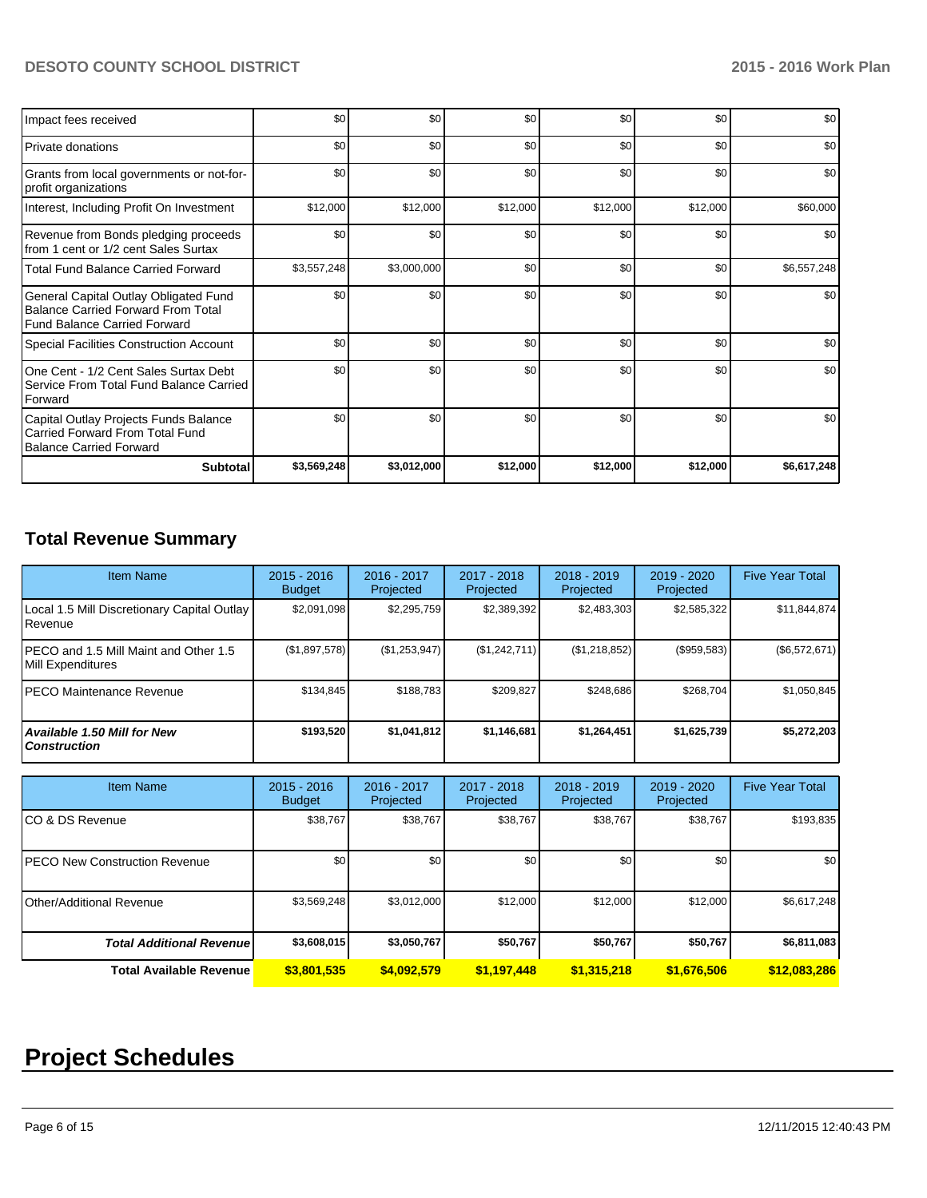# **DESOTO COUNTY SCHOOL DISTRICT 2015 - 2016 Work Plan**

| Impact fees received                                                                                                      | \$0         | \$0         | \$0      | \$0      | \$0      | \$0         |
|---------------------------------------------------------------------------------------------------------------------------|-------------|-------------|----------|----------|----------|-------------|
| Private donations                                                                                                         | \$0         | \$0         | \$0      | \$0      | \$0      | \$0         |
| Grants from local governments or not-for-<br>profit organizations                                                         | \$0         | \$0         | \$0      | \$0      | \$0      | \$0         |
| Interest, Including Profit On Investment                                                                                  | \$12,000    | \$12,000    | \$12,000 | \$12,000 | \$12,000 | \$60,000    |
| Revenue from Bonds pledging proceeds<br>from 1 cent or 1/2 cent Sales Surtax                                              | \$0         | \$0         | \$0      | \$0      | \$0      | \$0         |
| <b>Total Fund Balance Carried Forward</b>                                                                                 | \$3,557,248 | \$3,000,000 | \$0      | \$0      | \$0      | \$6,557,248 |
| General Capital Outlay Obligated Fund<br><b>Balance Carried Forward From Total</b><br><b>Fund Balance Carried Forward</b> | \$0         | \$0         | \$0      | \$0      | \$0      | \$0         |
| <b>Special Facilities Construction Account</b>                                                                            | \$0         | \$0         | \$0      | \$0      | \$0      | \$0         |
| One Cent - 1/2 Cent Sales Surtax Debt<br>Service From Total Fund Balance Carried<br>Forward                               | \$0         | \$0         | \$0      | \$0      | \$0      | \$0         |
| Capital Outlay Projects Funds Balance<br>Carried Forward From Total Fund<br><b>Balance Carried Forward</b>                | \$0         | \$0         | \$0      | \$0      | \$0      | \$0         |
| <b>Subtotal</b>                                                                                                           | \$3,569,248 | \$3,012,000 | \$12,000 | \$12,000 | \$12,000 | \$6,617,248 |

# **Total Revenue Summary**

| <b>Item Name</b>                                           | $2015 - 2016$<br><b>Budget</b> | 2016 - 2017<br>Projected | 2017 - 2018<br>Projected | $2018 - 2019$<br>Projected | 2019 - 2020<br>Projected | <b>Five Year Total</b> |
|------------------------------------------------------------|--------------------------------|--------------------------|--------------------------|----------------------------|--------------------------|------------------------|
| Local 1.5 Mill Discretionary Capital Outlay<br>Revenue     | \$2,091,098                    | \$2,295,759              | \$2,389,392              | \$2,483,303                | \$2,585,322              | \$11,844,874           |
| PECO and 1.5 Mill Maint and Other 1.5<br>Mill Expenditures | (\$1,897,578)                  | (\$1,253,947)            | (\$1,242,711)            | (S1, 218, 852)             | (\$959,583)              | (\$6,572,671)          |
| IPECO Maintenance Revenue                                  | \$134,845                      | \$188,783                | \$209.827                | \$248.686                  | \$268.704                | \$1,050,845            |
| <b>Available 1.50 Mill for New</b><br><b>Construction</b>  | \$193,520                      | \$1,041,812              | \$1,146,681              | \$1,264,451                | \$1,625,739              | \$5,272,203            |

| <b>Item Name</b>                      | $2015 - 2016$<br><b>Budget</b> | 2016 - 2017<br>Projected | 2017 - 2018<br>Projected | $2018 - 2019$<br>Projected | 2019 - 2020<br>Projected | <b>Five Year Total</b> |
|---------------------------------------|--------------------------------|--------------------------|--------------------------|----------------------------|--------------------------|------------------------|
| ICO & DS Revenue                      | \$38,767                       | \$38,767                 | \$38.767                 | \$38,767                   | \$38,767                 | \$193,835              |
| <b>IPECO New Construction Revenue</b> | \$0                            | \$0 <sub>l</sub>         | \$0                      | \$0                        | \$0                      | \$0 <sub>1</sub>       |
| Other/Additional Revenue              | \$3,569,248                    | \$3,012,000              | \$12,000                 | \$12,000                   | \$12,000                 | \$6,617,248            |
| <b>Total Additional Revenuel</b>      | \$3,608,015                    | \$3,050,767              | \$50,767                 | \$50,767                   | \$50,767                 | \$6,811,083            |
| Total Available Revenue               | \$3,801,535                    | \$4,092.579              | \$1,197,448              | \$1.315.218                | \$1,676,506              | \$12,083,286           |

# **Project Schedules**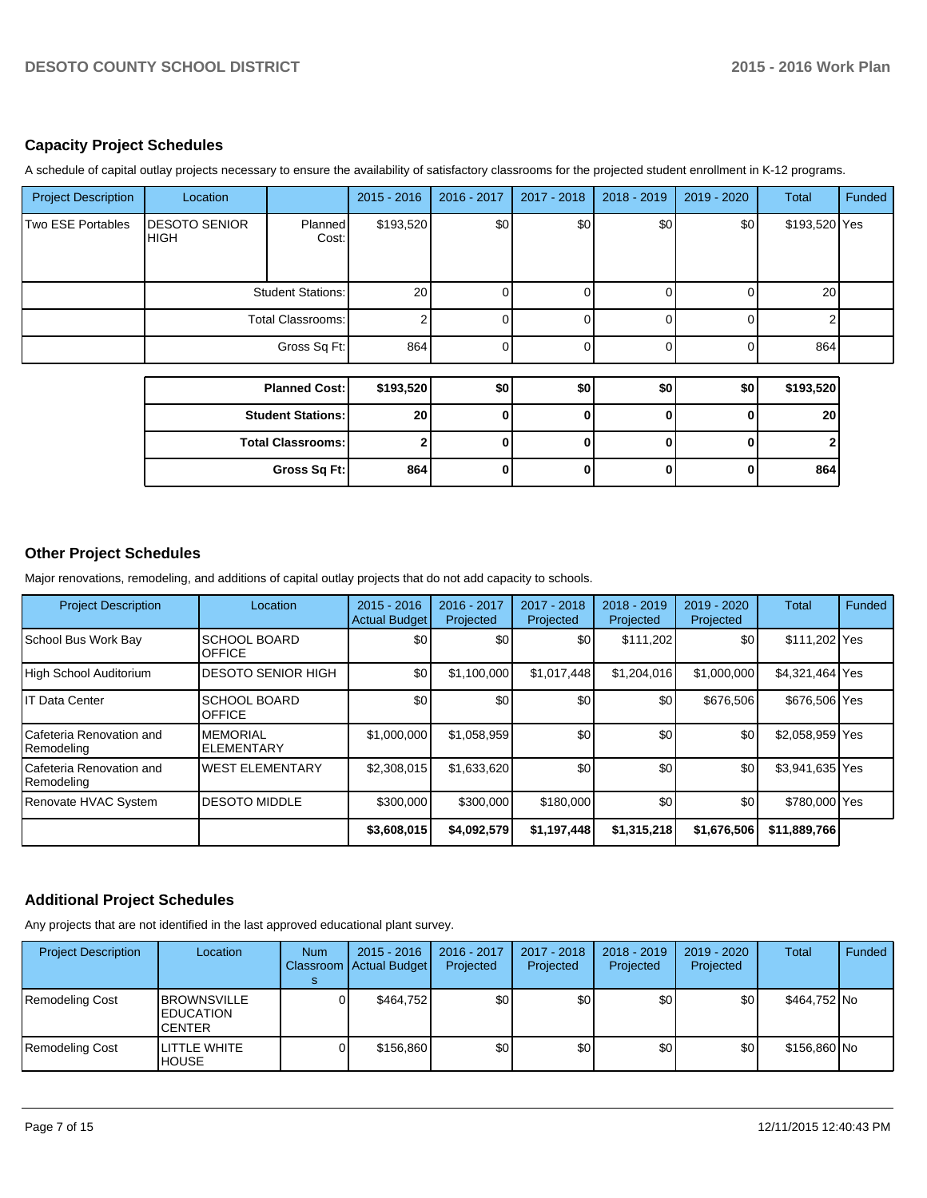### **Capacity Project Schedules**

A schedule of capital outlay projects necessary to ensure the availability of satisfactory classrooms for the projected student enrollment in K-12 programs.

| <b>Project Description</b> | Location                            |                          | $2015 - 2016$   | 2016 - 2017 | 2017 - 2018 | 2018 - 2019 | 2019 - 2020 | Total         | <b>Funded</b> |
|----------------------------|-------------------------------------|--------------------------|-----------------|-------------|-------------|-------------|-------------|---------------|---------------|
| Two ESE Portables          | <b>DESOTO SENIOR</b><br><b>HIGH</b> | <b>Planned</b><br>Cost:  | \$193,520       | \$0         | \$0         | \$0         | \$0         | \$193,520 Yes |               |
|                            | Student Stations:                   |                          | 20              |             |             | U           | 0           | 20            |               |
|                            | Total Classrooms:                   |                          | 2               |             | U           |             | 0           | 2             |               |
|                            | Gross Sq Ft:                        |                          | 864             |             |             |             | 0           | 864           |               |
|                            |                                     |                          |                 |             |             |             |             |               |               |
|                            |                                     | <b>Planned Cost:</b>     | \$193,520       | \$0         | \$0         | \$0         | \$0         | \$193,520     |               |
|                            |                                     | <b>Student Stations:</b> | 20 <sub>2</sub> | 0           | 0           | 0           | 0           | 20            |               |
|                            |                                     | <b>Total Classrooms:</b> | 2               | U           | ŋ           | U           | $\bf{0}$    |               |               |
|                            |                                     | Gross Sq Ft:             | 864             | ŋ           | 0           | ŋ           | 0           | 864           |               |

#### **Other Project Schedules**

Major renovations, remodeling, and additions of capital outlay projects that do not add capacity to schools.

| <b>Project Description</b>             | Location                             | $2015 - 2016$<br><b>Actual Budget</b> | 2016 - 2017<br>Projected | 2017 - 2018<br>Projected | $2018 - 2019$<br>Projected | 2019 - 2020<br>Projected | <b>Total</b>    | Funded |
|----------------------------------------|--------------------------------------|---------------------------------------|--------------------------|--------------------------|----------------------------|--------------------------|-----------------|--------|
| School Bus Work Bay                    | ISCHOOL BOARD<br><b>OFFICE</b>       | \$0                                   | \$0                      | \$0                      | \$111,202                  | \$0                      | \$111,202 Yes   |        |
| High School Auditorium                 | <b>DESOTO SENIOR HIGH</b>            | \$0                                   | \$1,100,000              | \$1,017,448              | \$1,204,016                | \$1,000,000              | \$4,321,464 Yes |        |
| IIT Data Center                        | <b>SCHOOL BOARD</b><br><b>OFFICE</b> | \$0                                   | \$0                      | \$0                      | \$0                        | \$676,506                | \$676,506 Yes   |        |
| Cafeteria Renovation and<br>Remodeling | <b>MEMORIAL</b><br><b>ELEMENTARY</b> | \$1,000,000                           | \$1,058,959              | \$0                      | \$0                        | \$0                      | \$2,058,959 Yes |        |
| Cafeteria Renovation and<br>Remodeling | <b>WEST ELEMENTARY</b>               | \$2,308,015                           | \$1,633,620              | \$0                      | \$0                        | \$0                      | \$3,941,635 Yes |        |
| Renovate HVAC System                   | <b>DESOTO MIDDLE</b>                 | \$300,000                             | \$300,000                | \$180,000                | \$0                        | \$0                      | \$780,000 Yes   |        |
|                                        |                                      | \$3,608,015                           | \$4,092,579              | \$1,197,448              | \$1,315,218                | \$1,676,506              | \$11,889,766    |        |

## **Additional Project Schedules**

Any projects that are not identified in the last approved educational plant survey.

| <b>Project Description</b> | Location                                                | <b>Num</b> | 2015 - 2016<br>Classroom   Actual Budget | 2016 - 2017<br>Projected | $2017 - 2018$<br>Projected | $2018 - 2019$<br>Projected | $2019 - 2020$<br>Projected | Total        | Funded <b>I</b> |
|----------------------------|---------------------------------------------------------|------------|------------------------------------------|--------------------------|----------------------------|----------------------------|----------------------------|--------------|-----------------|
| Remodeling Cost            | <b>BROWNSVILLE</b><br><b>EDUCATION</b><br><b>CENTER</b> |            | \$464.752                                | \$0 <sub>1</sub>         | \$0                        | \$0                        | \$0                        | \$464,752 No |                 |
| Remodeling Cost            | LITTLE WHITE<br><b>HOUSE</b>                            |            | \$156,860                                | \$0                      | \$0                        | \$0                        | \$0                        | \$156,860 No |                 |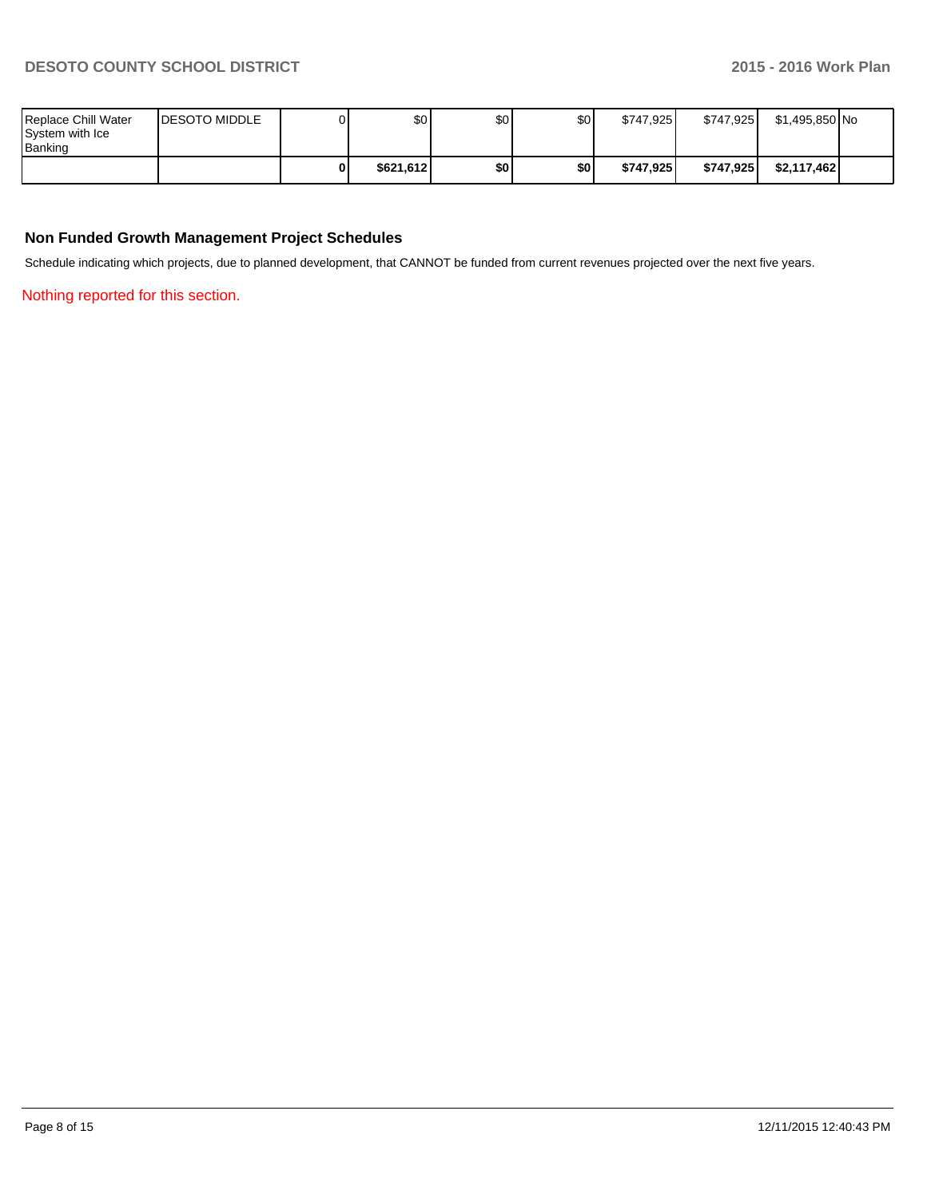| Replace Chill Water<br>System with Ice<br><b>I</b> Banking | <b>IDESOTO MIDDLE</b> | \$0 <sub>0</sub> | \$0   | \$0 | \$747.925 | \$747.925 | \$1,495,850 No |  |
|------------------------------------------------------------|-----------------------|------------------|-------|-----|-----------|-----------|----------------|--|
|                                                            |                       | \$621.612        | \$0 I | \$0 | \$747.925 | \$747.925 | \$2,117,462    |  |

### **Non Funded Growth Management Project Schedules**

Schedule indicating which projects, due to planned development, that CANNOT be funded from current revenues projected over the next five years.

Nothing reported for this section.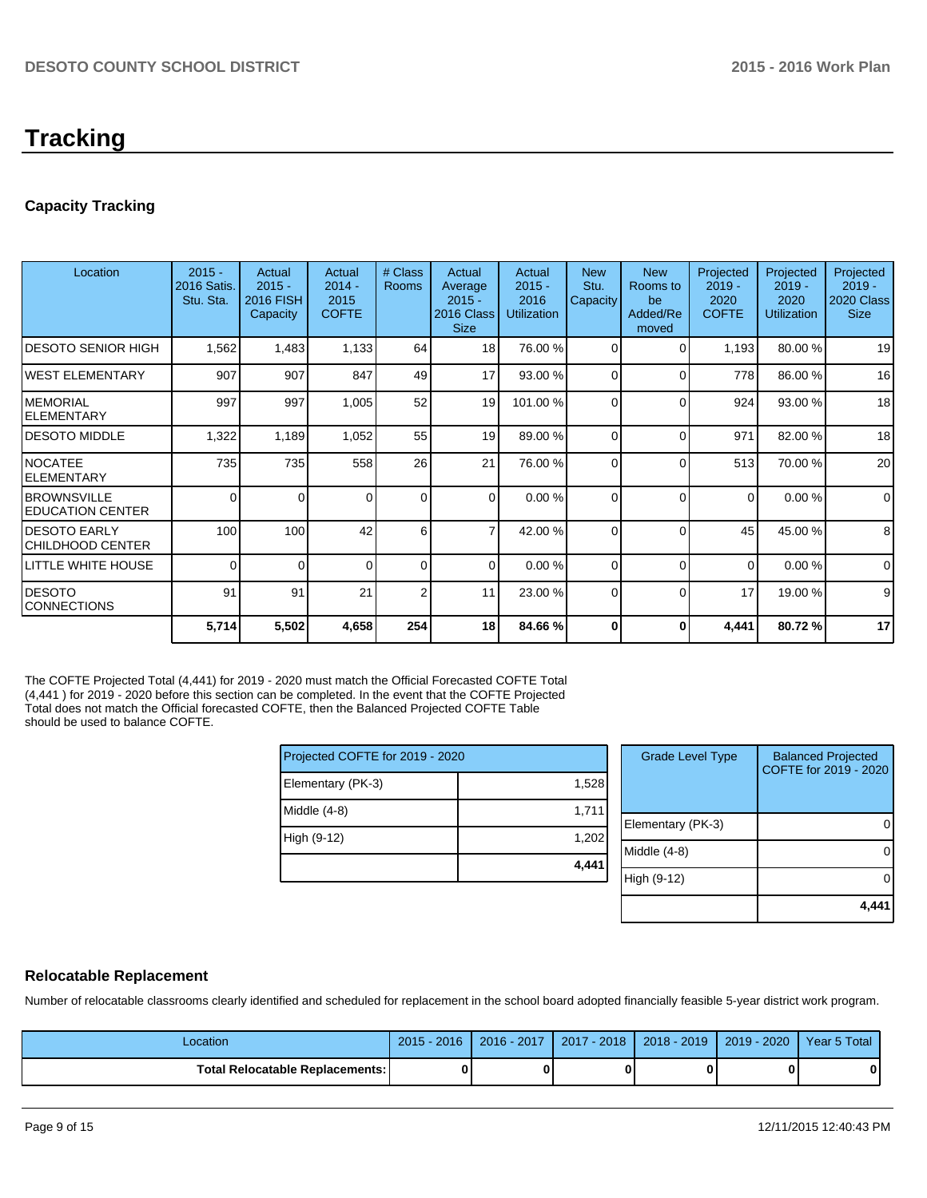# **Tracking**

# **Capacity Tracking**

| Location                                        | $2015 -$<br>2016 Satis.<br>Stu. Sta. | Actual<br>$2015 -$<br><b>2016 FISH</b><br>Capacity | Actual<br>$2014 -$<br>2015<br><b>COFTE</b> | # Class<br>Rooms | Actual<br>Average<br>$2015 -$<br>2016 Class<br><b>Size</b> | Actual<br>$2015 -$<br>2016<br><b>Utilization</b> | <b>New</b><br>Stu.<br>Capacity | <b>New</b><br>Rooms to<br>be<br>Added/Re<br>moved | Projected<br>$2019 -$<br>2020<br><b>COFTE</b> | Projected<br>$2019 -$<br>2020<br><b>Utilization</b> | Projected<br>$2019 -$<br>2020 Class<br><b>Size</b> |
|-------------------------------------------------|--------------------------------------|----------------------------------------------------|--------------------------------------------|------------------|------------------------------------------------------------|--------------------------------------------------|--------------------------------|---------------------------------------------------|-----------------------------------------------|-----------------------------------------------------|----------------------------------------------------|
| <b>DESOTO SENIOR HIGH</b>                       | 1,562                                | 1,483                                              | 1,133                                      | 64               | 18 <sup>1</sup>                                            | 76.00 %                                          | $\Omega$                       | $\Omega$                                          | 1,193                                         | 80.00 %                                             | 19                                                 |
| IWEST ELEMENTARY                                | 907                                  | 907                                                | 847                                        | 49               | 17                                                         | 93.00 %                                          | $\Omega$                       | $\Omega$                                          | 778                                           | 86.00 %                                             | 16                                                 |
| IMEMORIAL<br><b>IELEMENTARY</b>                 | 997                                  | 997                                                | 1,005                                      | 52               | 19                                                         | 101.00 %                                         | $\Omega$                       | $\Omega$                                          | 924                                           | 93.00 %                                             | 18                                                 |
| IDESOTO MIDDLE                                  | 1,322                                | 1,189                                              | 1,052                                      | 55               | 19                                                         | 89.00 %                                          | $\Omega$                       | $\Omega$                                          | 971                                           | 82.00 %                                             | 18                                                 |
| INOCATEE<br><b>IELEMENTARY</b>                  | 735                                  | 735                                                | 558                                        | 26               | 21                                                         | 76.00 %                                          | $\Omega$                       | $\Omega$                                          | 513                                           | 70.00 %                                             | 20                                                 |
| <b>IBROWNSVILLE</b><br><b> EDUCATION CENTER</b> | $\mathbf 0$                          | 0                                                  | $\Omega$                                   | $\Omega$         | $\Omega$                                                   | 0.00%                                            | $\Omega$                       | $\Omega$                                          | $\overline{0}$                                | 0.00%                                               | $\mathbf 0$                                        |
| <b>I</b> DESOTO EARLY<br>ICHILDHOOD CENTER      | 100                                  | 100                                                | 42                                         | 6                | 7                                                          | 42.00 %                                          | $\Omega$                       | $\Omega$                                          | 45                                            | 45.00 %                                             | 8                                                  |
| LITTLE WHITE HOUSE                              | $\Omega$                             | 0                                                  | $\Omega$                                   | $\overline{0}$   | $\Omega$                                                   | 0.00%                                            | $\Omega$                       | $\Omega$                                          | $\Omega$                                      | 0.00%                                               | $\Omega$                                           |
| IDESOTO<br><b>CONNECTIONS</b>                   | 91                                   | 91                                                 | 21                                         | 2                | 11                                                         | 23.00 %                                          | $\Omega$                       | $\Omega$                                          | 17                                            | 19.00 %                                             | 9                                                  |
|                                                 | 5,714                                | 5,502                                              | 4,658                                      | 254              | 18                                                         | 84.66 %                                          | 0                              | 0                                                 | 4,441                                         | 80.72%                                              | 17                                                 |

The COFTE Projected Total (4,441) for 2019 - 2020 must match the Official Forecasted COFTE Total (4,441 ) for 2019 - 2020 before this section can be completed. In the event that the COFTE Projected Total does not match the Official forecasted COFTE, then the Balanced Projected COFTE Table should be used to balance COFTE.

| Projected COFTE for 2019 - 2020 |       |
|---------------------------------|-------|
| Elementary (PK-3)               | 1,528 |
| Middle $(4-8)$                  | 1,711 |
| High (9-12)                     | 1,202 |
|                                 | 4,441 |

| <b>Grade Level Type</b> | <b>Balanced Projected</b><br>COFTE for 2019 - 2020 |
|-------------------------|----------------------------------------------------|
| Elementary (PK-3)       |                                                    |
| Middle $(4-8)$          |                                                    |
| High (9-12)             |                                                    |
|                         |                                                    |

#### **Relocatable Replacement**

Number of relocatable classrooms clearly identified and scheduled for replacement in the school board adopted financially feasible 5-year district work program.

| Location                        | $2015 - 2016$ | 2016 - 2017 | 2017 - 2018 | 2018 - 2019 | 2019 - 2020 | Year 5 Total |
|---------------------------------|---------------|-------------|-------------|-------------|-------------|--------------|
| Total Relocatable Replacements: |               |             |             |             |             |              |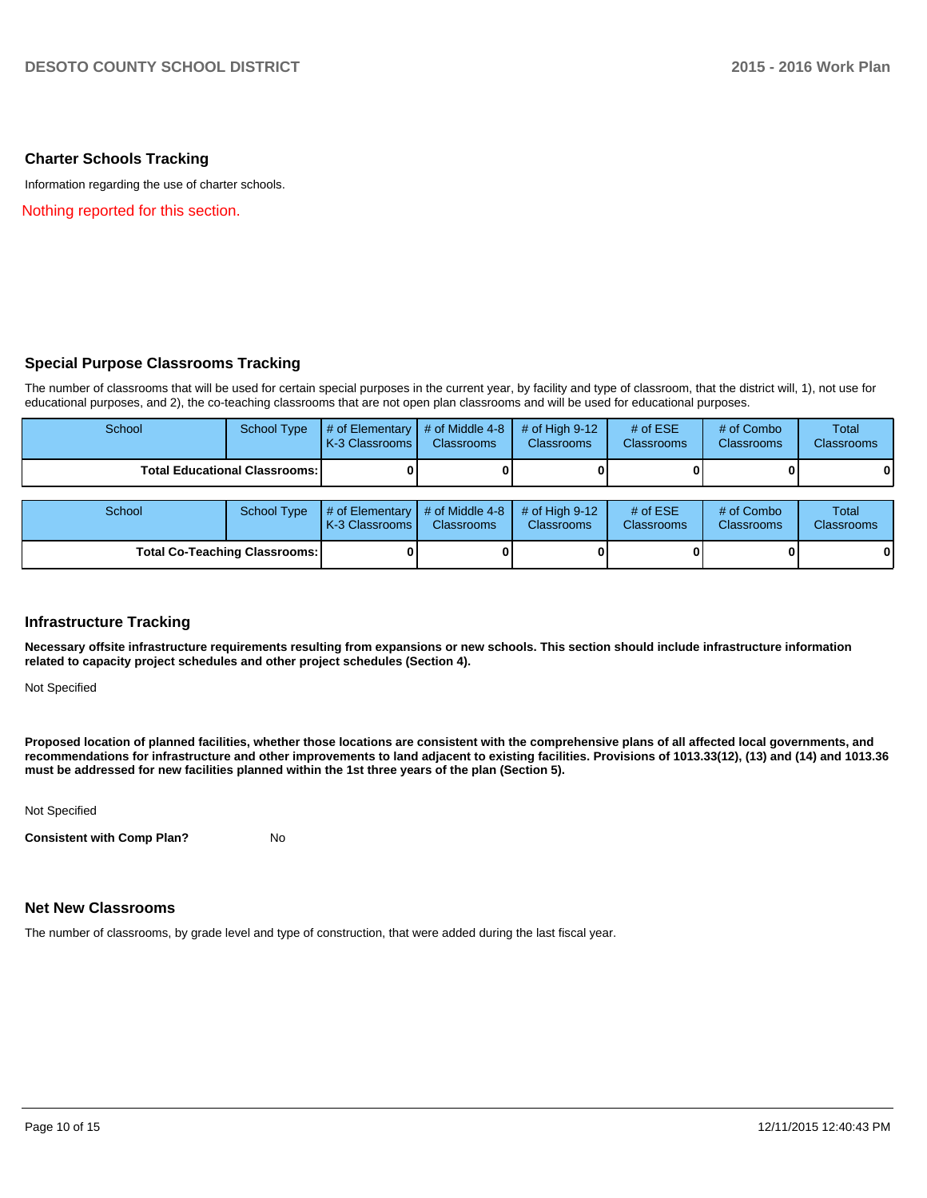#### **Charter Schools Tracking**

Information regarding the use of charter schools.

Nothing reported for this section.

### **Special Purpose Classrooms Tracking**

The number of classrooms that will be used for certain special purposes in the current year, by facility and type of classroom, that the district will, 1), not use for educational purposes, and 2), the co-teaching classrooms that are not open plan classrooms and will be used for educational purposes.

| School                               | <b>School Type</b> | # of Elementary<br>K-3 Classrooms    | # of Middle 4-8<br><b>Classrooms</b> | # of High $9-12$<br><b>Classrooms</b> | # of $ESE$<br><b>Classrooms</b> | # of Combo<br><b>Classrooms</b> | Total<br><b>Classrooms</b> |
|--------------------------------------|--------------------|--------------------------------------|--------------------------------------|---------------------------------------|---------------------------------|---------------------------------|----------------------------|
| <b>Total Educational Classrooms:</b> |                    |                                      |                                      |                                       |                                 |                                 | 01                         |
| School                               | <b>School Type</b> | # of Elementary<br>LK-3 Classrooms I | # of Middle 4-8<br><b>Classrooms</b> | # of High $9-12$<br><b>Classrooms</b> | # of $ESE$<br><b>Classrooms</b> | # of Combo<br><b>Classrooms</b> | Total<br>Classrooms        |
| <b>Total Co-Teaching Classrooms:</b> |                    |                                      |                                      |                                       |                                 |                                 | 0                          |

#### **Infrastructure Tracking**

**Necessary offsite infrastructure requirements resulting from expansions or new schools. This section should include infrastructure information related to capacity project schedules and other project schedules (Section 4).**

Not Specified

**Proposed location of planned facilities, whether those locations are consistent with the comprehensive plans of all affected local governments, and recommendations for infrastructure and other improvements to land adjacent to existing facilities. Provisions of 1013.33(12), (13) and (14) and 1013.36 must be addressed for new facilities planned within the 1st three years of the plan (Section 5).**

Not Specified

**Consistent with Comp Plan?** No

#### **Net New Classrooms**

The number of classrooms, by grade level and type of construction, that were added during the last fiscal year.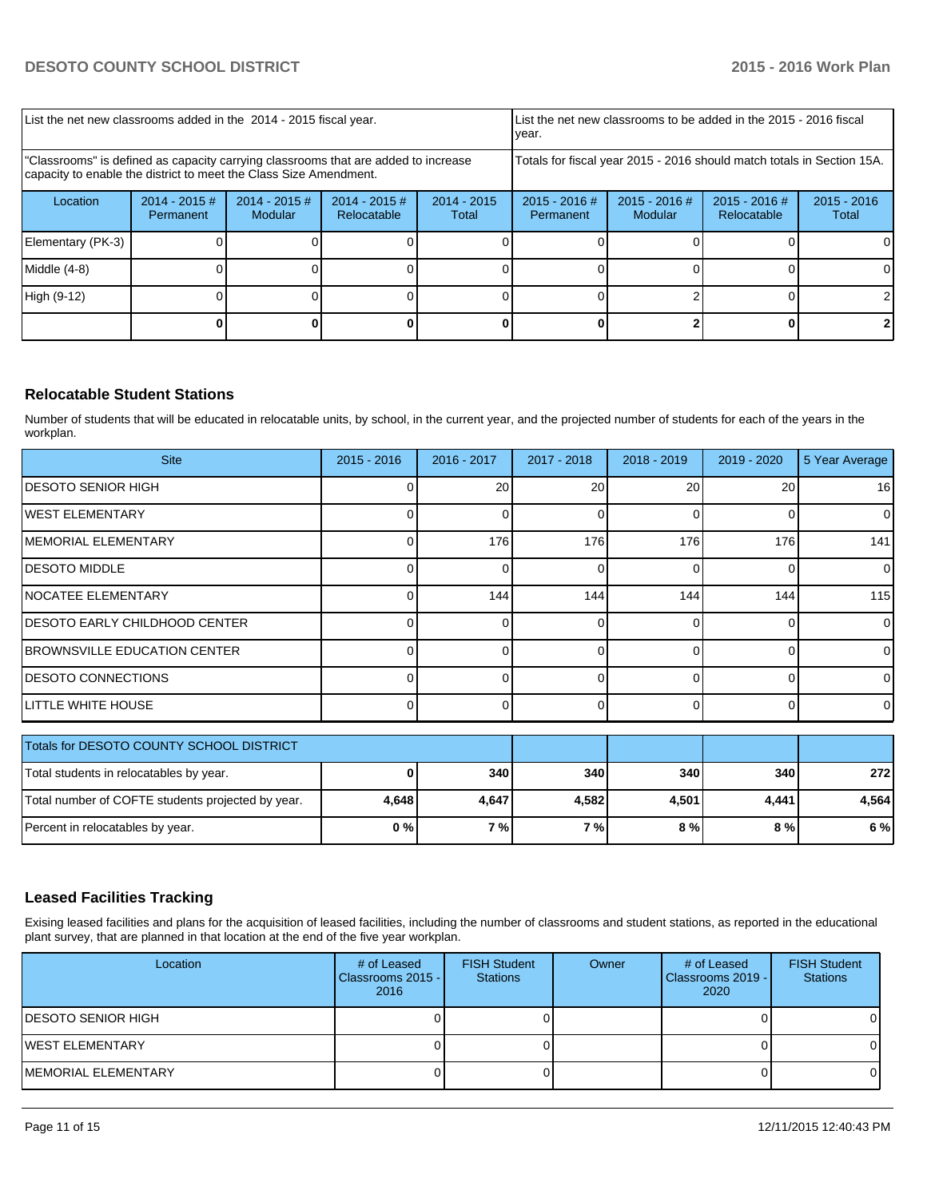| List the net new classrooms added in the 2014 - 2015 fiscal year.                                                                                       |                              |                            |                                |                        | List the net new classrooms to be added in the 2015 - 2016 fiscal<br>Ivear.                  |  |  |                        |
|---------------------------------------------------------------------------------------------------------------------------------------------------------|------------------------------|----------------------------|--------------------------------|------------------------|----------------------------------------------------------------------------------------------|--|--|------------------------|
| "Classrooms" is defined as capacity carrying classrooms that are added to increase<br>capacity to enable the district to meet the Class Size Amendment. |                              |                            |                                |                        | Totals for fiscal year 2015 - 2016 should match totals in Section 15A.                       |  |  |                        |
| Location                                                                                                                                                | $2014 - 2015$ #<br>Permanent | $2014 - 2015$ #<br>Modular | $2014 - 2015$ #<br>Relocatable | $2014 - 2015$<br>Total | $2015 - 2016$ #<br>$2015 - 2016$ #<br>$2015 - 2016$ #<br>Relocatable<br>Modular<br>Permanent |  |  | $2015 - 2016$<br>Total |
| Elementary (PK-3)                                                                                                                                       |                              |                            |                                |                        |                                                                                              |  |  | 01                     |
| Middle $(4-8)$                                                                                                                                          |                              |                            |                                |                        |                                                                                              |  |  |                        |
| High (9-12)                                                                                                                                             |                              |                            |                                |                        |                                                                                              |  |  |                        |
|                                                                                                                                                         |                              |                            |                                |                        |                                                                                              |  |  |                        |

## **Relocatable Student Stations**

Number of students that will be educated in relocatable units, by school, in the current year, and the projected number of students for each of the years in the workplan.

| <b>Site</b>                                       | $2015 - 2016$ | 2016 - 2017     | 2017 - 2018     | $2018 - 2019$ | $2019 - 2020$ | 5 Year Average |
|---------------------------------------------------|---------------|-----------------|-----------------|---------------|---------------|----------------|
| <b>IDESOTO SENIOR HIGH</b>                        |               | 20 <sup>1</sup> | 20 <sup>1</sup> | 20            | 20            | 16             |
| <b>WEST ELEMENTARY</b>                            |               |                 |                 | 0             | 0             | $\overline{0}$ |
| MEMORIAL ELEMENTARY                               |               | 176             | 176             | 176           | 176           | 141            |
| <b>DESOTO MIDDLE</b>                              |               | ∩               | 0               | $\Omega$      | $\Omega$      | $\overline{0}$ |
| <b>NOCATEE ELEMENTARY</b>                         |               | 144             | 144             | 144           | 144           | 115            |
| <b>DESOTO EARLY CHILDHOOD CENTER</b>              |               |                 | 0               | $\Omega$      | 0             | $\overline{0}$ |
| <b>BROWNSVILLE EDUCATION CENTER</b>               |               |                 |                 | 0             | 0             | $\overline{0}$ |
| <b>DESOTO CONNECTIONS</b>                         |               |                 |                 | U             | O             | $\Omega$       |
| LITTLE WHITE HOUSE                                |               |                 | 0               | $\Omega$      | $\Omega$      | $\Omega$       |
| Totals for DESOTO COUNTY SCHOOL DISTRICT          |               |                 |                 |               |               |                |
| Total students in relocatables by year.           |               | 340             | 340             | 340           | 340           | 272            |
| Total number of COFTE students projected by year. | 4,648         | 4,647           | 4,582           | 4,501         | 4,441         | 4,564          |

### **Leased Facilities Tracking**

Exising leased facilities and plans for the acquisition of leased facilities, including the number of classrooms and student stations, as reported in the educational plant survey, that are planned in that location at the end of the five year workplan.

Percent in relocatables by year. **0 % 7 % 7 % 8 % 8 % 6 %**

| Location                   | # of Leased<br>Classrooms 2015 - I<br>2016 | <b>FISH Student</b><br><b>Stations</b> | Owner | # of Leased<br>l Classrooms 2019 - I<br>2020 | <b>FISH Student</b><br><b>Stations</b> |
|----------------------------|--------------------------------------------|----------------------------------------|-------|----------------------------------------------|----------------------------------------|
| <b>IDESOTO SENIOR HIGH</b> |                                            |                                        |       |                                              |                                        |
| IWEST ELEMENTARY           |                                            |                                        |       |                                              |                                        |
| MEMORIAL ELEMENTARY        |                                            |                                        |       |                                              |                                        |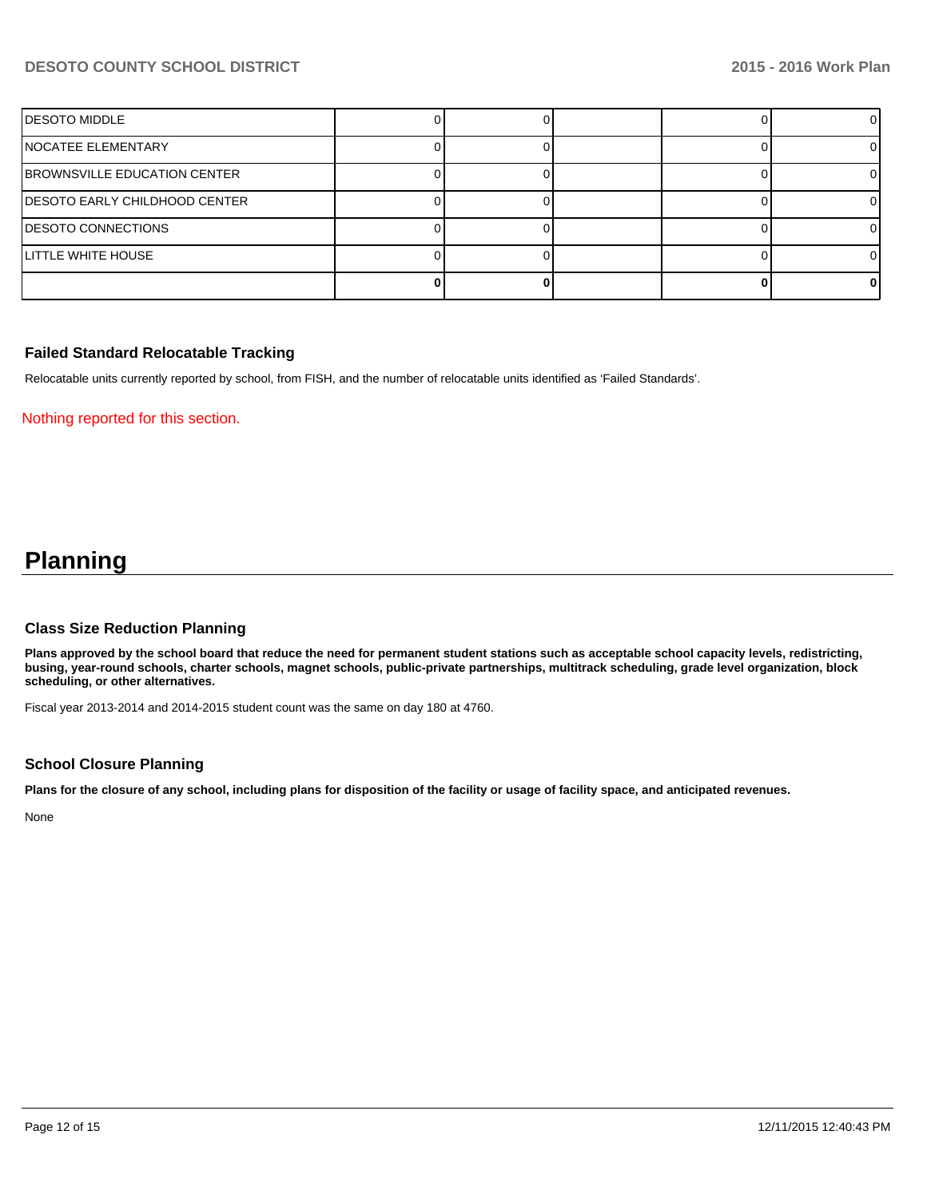## **DESOTO COUNTY SCHOOL DISTRICT 2015 - 2016 Work Plan**

| <b>DESOTO MIDDLE</b>                  |  |  |  |
|---------------------------------------|--|--|--|
| NOCATEE ELEMENTARY                    |  |  |  |
| <b>BROWNSVILLE EDUCATION CENTER</b>   |  |  |  |
| <b>IDESOTO EARLY CHILDHOOD CENTER</b> |  |  |  |
| <b>DESOTO CONNECTIONS</b>             |  |  |  |
| LITTLE WHITE HOUSE                    |  |  |  |
|                                       |  |  |  |

#### **Failed Standard Relocatable Tracking**

Relocatable units currently reported by school, from FISH, and the number of relocatable units identified as 'Failed Standards'.

Nothing reported for this section.

# **Planning**

#### **Class Size Reduction Planning**

**Plans approved by the school board that reduce the need for permanent student stations such as acceptable school capacity levels, redistricting, busing, year-round schools, charter schools, magnet schools, public-private partnerships, multitrack scheduling, grade level organization, block scheduling, or other alternatives.**

Fiscal year 2013-2014 and 2014-2015 student count was the same on day 180 at 4760.

#### **School Closure Planning**

**Plans for the closure of any school, including plans for disposition of the facility or usage of facility space, and anticipated revenues.**

None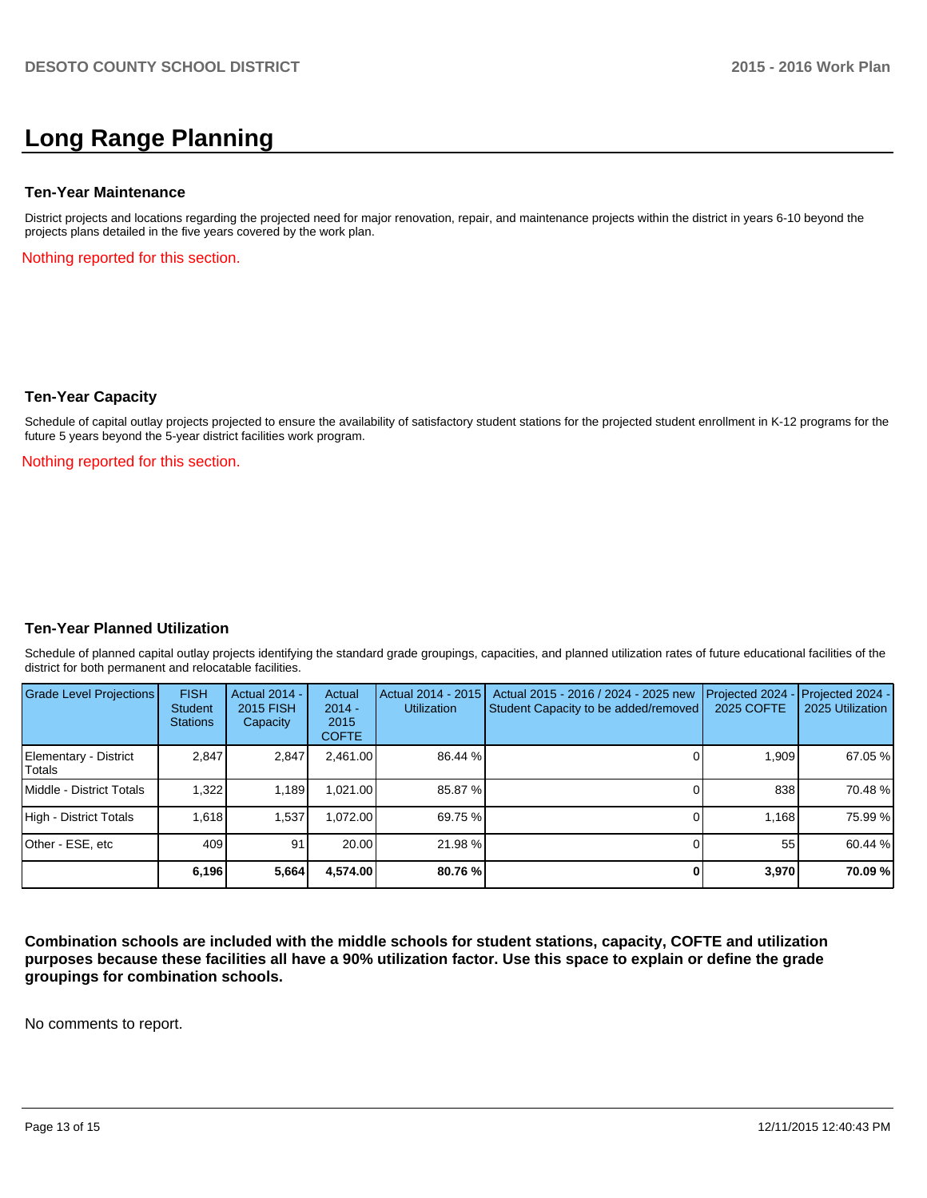# **Long Range Planning**

#### **Ten-Year Maintenance**

District projects and locations regarding the projected need for major renovation, repair, and maintenance projects within the district in years 6-10 beyond the projects plans detailed in the five years covered by the work plan.

Nothing reported for this section.

#### **Ten-Year Capacity**

Schedule of capital outlay projects projected to ensure the availability of satisfactory student stations for the projected student enrollment in K-12 programs for the future 5 years beyond the 5-year district facilities work program.

Nothing reported for this section.

#### **Ten-Year Planned Utilization**

Schedule of planned capital outlay projects identifying the standard grade groupings, capacities, and planned utilization rates of future educational facilities of the district for both permanent and relocatable facilities.

| <b>Grade Level Projections</b>  | <b>FISH</b><br><b>Student</b><br><b>Stations</b> | <b>Actual 2014 -</b><br>2015 FISH<br>Capacity | Actual<br>$2014 -$<br>2015<br><b>COFTE</b> | Actual 2014 - 2015<br><b>Utilization</b> | Actual 2015 - 2016 / 2024 - 2025 new<br>Student Capacity to be added/removed | Projected 2024<br>2025 COFTE | $-$ Projected 2024 -<br>2025 Utilization |
|---------------------------------|--------------------------------------------------|-----------------------------------------------|--------------------------------------------|------------------------------------------|------------------------------------------------------------------------------|------------------------------|------------------------------------------|
| Elementary - District<br>Totals | 2.847                                            | 2,847                                         | 2.461.00                                   | 86.44 %                                  |                                                                              | 1.909                        | 67.05 %                                  |
| Middle - District Totals        | 1.322                                            | 1.189                                         | ا021.00.                                   | 85.87 %                                  |                                                                              | 838                          | 70.48 %                                  |
| High - District Totals          | 1.618                                            | 1.537                                         | .072.00                                    | 69.75 %                                  |                                                                              | 1.168                        | 75.99 %                                  |
| Other - ESE, etc                | 409                                              | 91                                            | 20.00                                      | 21.98 %                                  |                                                                              | 55                           | 60.44 %                                  |
|                                 | 6,196                                            | 5,664                                         | 4,574.00                                   | 80.76 %                                  |                                                                              | 3,970                        | 70.09 %                                  |

**Combination schools are included with the middle schools for student stations, capacity, COFTE and utilization purposes because these facilities all have a 90% utilization factor. Use this space to explain or define the grade groupings for combination schools.**

No comments to report.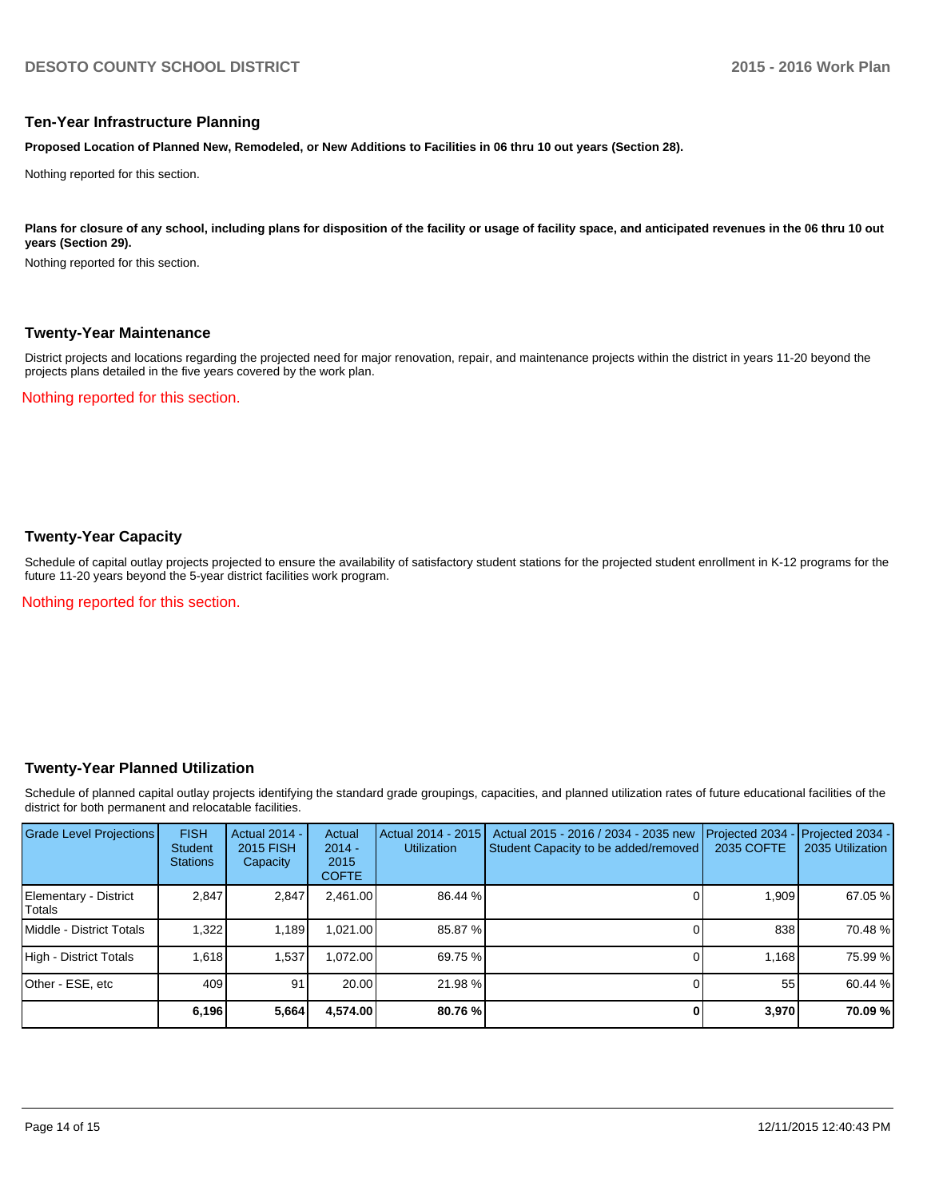#### **Ten-Year Infrastructure Planning**

**Proposed Location of Planned New, Remodeled, or New Additions to Facilities in 06 thru 10 out years (Section 28).**

Nothing reported for this section.

Plans for closure of any school, including plans for disposition of the facility or usage of facility space, and anticipated revenues in the 06 thru 10 out **years (Section 29).**

Nothing reported for this section.

#### **Twenty-Year Maintenance**

District projects and locations regarding the projected need for major renovation, repair, and maintenance projects within the district in years 11-20 beyond the projects plans detailed in the five years covered by the work plan.

Nothing reported for this section.

### **Twenty-Year Capacity**

Schedule of capital outlay projects projected to ensure the availability of satisfactory student stations for the projected student enrollment in K-12 programs for the future 11-20 years beyond the 5-year district facilities work program.

Nothing reported for this section.

#### **Twenty-Year Planned Utilization**

Schedule of planned capital outlay projects identifying the standard grade groupings, capacities, and planned utilization rates of future educational facilities of the district for both permanent and relocatable facilities.

| Grade Level Projections         | <b>FISH</b><br><b>Student</b><br><b>Stations</b> | <b>Actual 2014 -</b><br>2015 FISH<br>Capacity | Actual<br>$2014 -$<br>2015<br><b>COFTE</b> | Actual 2014 - 2015<br><b>Utilization</b> | Actual 2015 - 2016 / 2034 - 2035 new<br>Student Capacity to be added/removed | Projected 2034<br>2035 COFTE | Projected 2034 -<br>2035 Utilization |
|---------------------------------|--------------------------------------------------|-----------------------------------------------|--------------------------------------------|------------------------------------------|------------------------------------------------------------------------------|------------------------------|--------------------------------------|
| Elementary - District<br>Totals | 2.847                                            | 2,847                                         | 2.461.00                                   | 86.44 %                                  |                                                                              | 1.909                        | 67.05 %                              |
| Middle - District Totals        | 1.322                                            | 1.189                                         | .021.00                                    | 85.87 %                                  |                                                                              | 838                          | 70.48 %                              |
| High - District Totals          | 1.618                                            | 1.537                                         | .072.00                                    | 69.75 %                                  |                                                                              | 1.168                        | 75.99 %                              |
| Other - ESE, etc                | 409                                              | 91                                            | 20.00                                      | 21.98 %                                  |                                                                              | 55                           | 60.44 %                              |
|                                 | 6,196                                            | 5,664                                         | 4.574.00                                   | 80.76 %                                  |                                                                              | 3,970                        | 70.09 %                              |